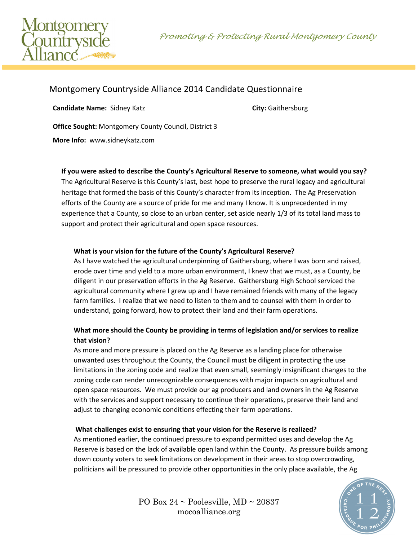Promoting & Protecting Rural Montgomery County



# Montgomery Countryside Alliance 2014 Candidate Questionnaire

**Candidate Name:** Sidney Katz **City:** Gaithersburg **City:** Gaithersburg

**Office Sought:** Montgomery County Council, District 3

**More Info:** www.sidneykatz.com

#### **If you were asked to describe the County's Agricultural Reserve to someone, what would you say?**

The Agricultural Reserve is this County's last, best hope to preserve the rural legacy and agricultural heritage that formed the basis of this County's character from its inception. The Ag Preservation efforts of the County are a source of pride for me and many I know. It is unprecedented in my experience that a County, so close to an urban center, set aside nearly 1/3 of its total land mass to support and protect their agricultural and open space resources.

### **What is your vision for the future of the County's Agricultural Reserve?**

As I have watched the agricultural underpinning of Gaithersburg, where I was born and raised, erode over time and yield to a more urban environment, I knew that we must, as a County, be diligent in our preservation efforts in the Ag Reserve. Gaithersburg High School serviced the agricultural community where I grew up and I have remained friends with many of the legacy farm families. I realize that we need to listen to them and to counsel with them in order to understand, going forward, how to protect their land and their farm operations.

### **What more should the County be providing in terms of legislation and/or services to realize that vision?**

As more and more pressure is placed on the Ag Reserve as a landing place for otherwise unwanted uses throughout the County, the Council must be diligent in protecting the use limitations in the zoning code and realize that even small, seemingly insignificant changes to the zoning code can render unrecognizable consequences with major impacts on agricultural and open space resources. We must provide our ag producers and land owners in the Ag Reserve with the services and support necessary to continue their operations, preserve their land and adjust to changing economic conditions effecting their farm operations.

#### **What challenges exist to ensuring that your vision for the Reserve is realized?**

As mentioned earlier, the continued pressure to expand permitted uses and develop the Ag Reserve is based on the lack of available open land within the County. As pressure builds among down county voters to seek limitations on development in their areas to stop overcrowding, politicians will be pressured to provide other opportunities in the only place available, the Ag



PO Box  $24 \sim$  Poolesville, MD  $\sim$  20837 mocoalliance.org